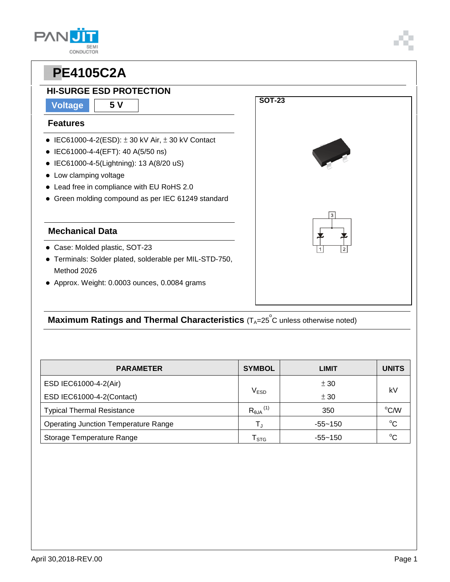

## **HI-SURGE ESD PROTECTION**

#### **Voltage 5 V**

#### **Features**

**PAN** 

- $\bullet$  IEC61000-4-2(ESD):  $\pm$  30 kV Air,  $\pm$  30 kV Contact
- IEC61000-4-4(EFT): 40 A(5/50 ns)
- IEC61000-4-5(Lightning): 13 A(8/20 uS)
- Low clamping voltage
- Lead free in compliance with EU RoHS 2.0
- Green molding compound as per IEC 61249 standard

#### **Mechanical Data**

- Case: Molded plastic, SOT-23
- Terminals: Solder plated, solderable per MIL-STD-750, Method 2026
- Approx. Weight: 0.0003 ounces, 0.0084 grams

## **Maximum Ratings and Thermal Characteristics** (T<sub>A</sub>=25<sup>°</sup>C unless otherwise noted)

| <b>PARAMETER</b>                            | <b>SYMBOL</b>                 | LIMIT       | <b>UNITS</b> |  |
|---------------------------------------------|-------------------------------|-------------|--------------|--|
| ESD IEC61000-4-2(Air)                       |                               | ± 30        | k٧           |  |
| ESD IEC61000-4-2(Contact)                   | $\mathsf{V}_{\mathsf{ESD}}$   | ± 30        |              |  |
| <b>Typical Thermal Resistance</b>           | $R_{\theta$ JA <sup>(1)</sup> | 350         | °C/W         |  |
| <b>Operating Junction Temperature Range</b> | T,                            | $-55 - 150$ | $^{\circ}C$  |  |
| Storage Temperature Range                   | $\mathsf{T}_{\texttt{STG}}$   | $-55 - 150$ | $^{\circ}C$  |  |

**SOT-23**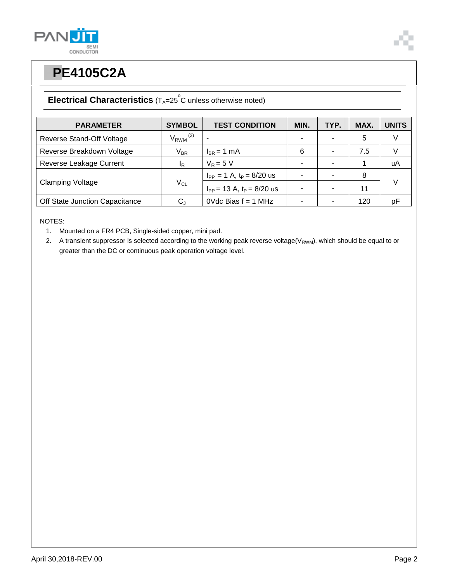



# **PPE4105C2A**

## **Electrical Characteristics** (T<sub>A</sub>=25<sup>°</sup>C unless otherwise noted)

| <b>PARAMETER</b>               | <b>SYMBOL</b>            | <b>TEST CONDITION</b>            | MIN. | TYP. | MAX. | <b>UNITS</b> |
|--------------------------------|--------------------------|----------------------------------|------|------|------|--------------|
| Reverse Stand-Off Voltage      | $V_{RWM}$ <sup>(2)</sup> |                                  |      |      | 5    |              |
| Reverse Breakdown Voltage      | $V_{BR}$                 | $I_{BR}$ = 1 mA                  | 6    |      | 7.5  |              |
| Reverse Leakage Current        | <sup>I</sup> R           | $V_R = 5 V$                      |      |      |      | uA           |
| <b>Clamping Voltage</b>        | $V_{CL}$                 | $I_{PP} = 1$ A, $t_P = 8/20$ us  |      |      | 8    |              |
|                                |                          | $I_{PP}$ = 13 A, $t_P$ = 8/20 us |      |      | 11   | V            |
| Off State Junction Capacitance | C.                       | OVdc Bias $f = 1$ MHz            |      |      | 120  | рF           |

NOTES:

1. Mounted on a FR4 PCB, Single-sided copper, mini pad.

2. A transient suppressor is selected according to the working peak reverse voltage( $V_{RWM}$ ), which should be equal to or greater than the DC or continuous peak operation voltage level.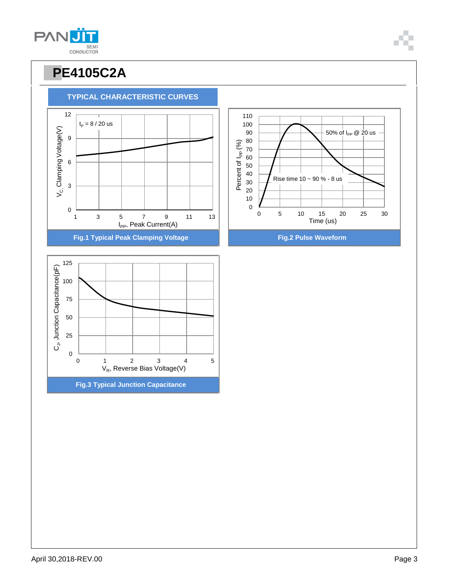



 $t_{\rm P} = 8 / 20$  us

**TYPICAL CHARACTERISTIC CURVES**





**PANU** SEMI<br>CONDUCTOR

9

12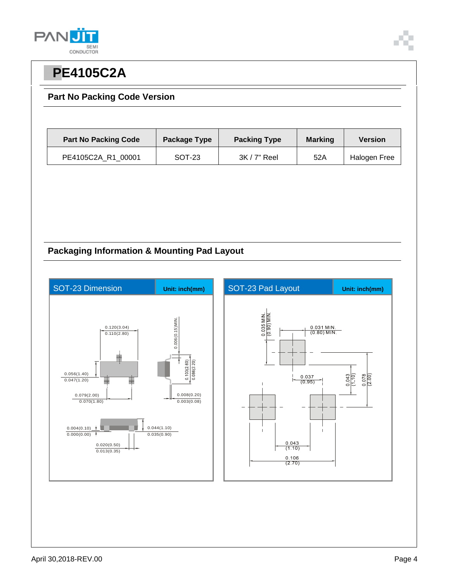



#### **Part No Packing Code Version**

| <b>Part No Packing Code</b> | Package Type | <b>Packing Type</b> | <b>Marking</b> | <b>Version</b> |
|-----------------------------|--------------|---------------------|----------------|----------------|
| PE4105C2A R1 00001          | SOT-23       | $3K/7"$ Reel        | 52A            | Halogen Free   |

### **Packaging Information & Mounting Pad Layout**